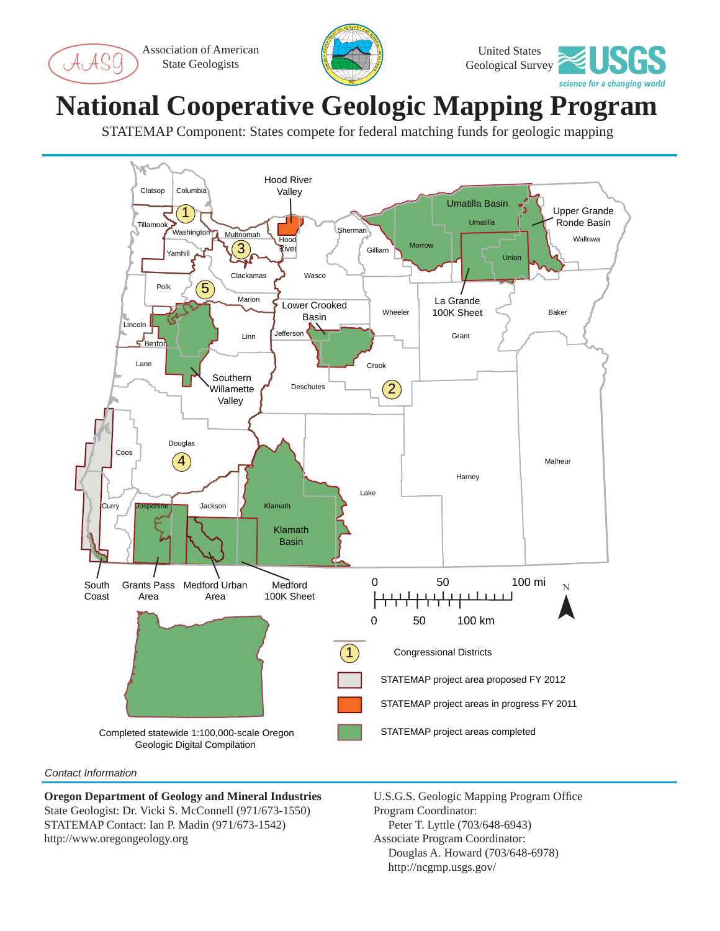Association of American State Geologists





## **National Cooperative Geologic Mapping Program**

STATEMAP Component: States compete for federal matching funds for geologic mapping



## *Contact Information*

**Oregon Department of Geology and Mineral Industries** State Geologist: Dr. Vicki S. McConnell (971/673-1550) STATEMAP Contact: Ian P. Madin (971/673-1542) http://www.oregongeology.org

U.S.G.S. Geologic Mapping Program Office Program Coordinator: Peter T. Lyttle (703/648-6943) Associate Program Coordinator: Douglas A. Howard (703/648-6978) http://ncgmp.usgs.gov/